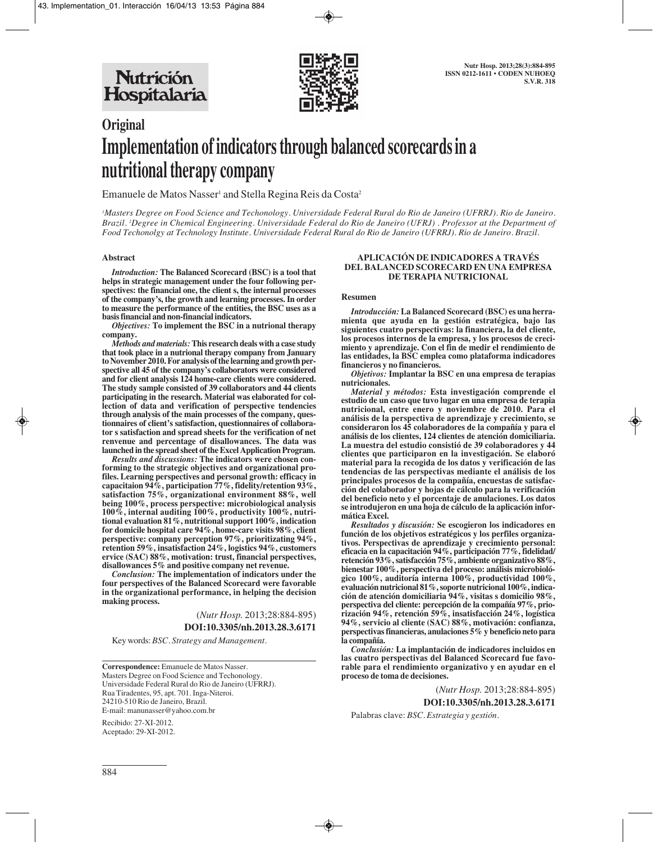

# **Original Implementation of indicators through balanced scorecards in a nutritional therapy company**

Emanuele de Matos Nasser<sup>1</sup> and Stella Regina Reis da Costa<sup>2</sup>

*1 Masters Degree on Food Science and Techonology. Universidade Federal Rural do Rio de Janeiro (UFRRJ). Rio de Janeiro. Brazil. 2 Degree in Chemical Engineering. Universidade Federal do Rio de Janeiro (UFRJ) . Professor at the Department of Food Techonolgy at Technology Institute. Universidade Federal Rural do Rio de Janeiro (UFRRJ). Rio de Janeiro. Brazil.*

#### **Abstract**

*Introduction:* **The Balanced Scorecard (BSC) is a tool that helps in strategic management under the four following perspectives: the financial one, the client s, the internal processes of the company's, the growth and learning processes. In order to measure the performance of the entities, the BSC uses as a basis financial and non-financial indicators.** 

*Objectives:* **To implement the BSC in a nutrional therapy company.** 

*Methods and materials:***This research deals with a case study that took place in a nutrional therapy company from January to November 2010. For analysis of the learning and growth perspective all 45 of the company's collaborators were considered and for client analysis 124 home-care clients were considered. The study sample consisted of 39 collaborators and 44 clients participating in the research. Material was elaborated for collection of data and verification of perspective tendencies through analysis of the main processes of the company, questionnaires of client's satisfaction, questionnaires of collaborator s satisfaction and spread sheets for the verification of net renvenue and percentage of disallowances. The data was launched in the spread sheet of the Excel Application Program.**

*Results and discussions:* **The indicators were chosen conforming to the strategic objectives and organizational profiles. Learning perspectives and personal growth: efficacy in capacitaion 94%, participation 77%, fidelity/retention 93%, satisfaction 75%, organizational environment 88%, well being 100%, process perspective: microbiological analysis 100%, internal auditing 100%, productivity 100%, nutritional evaluation 81%, nutritional support 100%, indication for domicile hospital care 94%, home-care visits 98%, client perspective: company perception 97%, prioritizating 94%, retention 59%, insatisfaction 24%, logistics 94%, customers ervice (SAC) 88%, motivation: trust, financial perspectives, disallowances 5% and positive company net revenue.** 

*Conclusion:* **The implementation of indicators under the four perspectives of the Balanced Scorecard were favorable in the organizational performance, in helping the decision making process.** 

> (*Nutr Hosp.* 2013;28:884-895) **DOI:10.3305/nh.2013.28.3.6171**

Key words: *BSC. Strategy and Management.* 

**Correspondence:** Emanuele de Matos Nasser. Masters Degree on Food Science and Techonology. Universidade Federal Rural do Rio de Janeiro (UFRRJ). Rua Tiradentes, 95, apt. 701. Inga-Niteroi. 24210-510 Rio de Janeiro, Brazil. E-mail: manunasser@yahoo.com.br

Recibido: 27-XI-2012. Aceptado: 29-XI-2012.

#### **APLICACIÓN DE INDICADORES A TRAVÉS DEL BALANCED SCORECARD EN UNA EMPRESA DE TERAPIA NUTRICIONAL**

#### **Resumen**

*Introducción:* **La Balanced Scorecard (BSC) es una herramienta que ayuda en la gestión estratégica, bajo las siguientes cuatro perspectivas: la financiera, la del cliente, los procesos internos de la empresa, y los procesos de crecimiento y aprendizaje. Con el fin de medir el rendimiento de las entidades, la BSC emplea como plataforma indicadores financieros y no financieros.** 

*Objetivos:* **Implantar la BSC en una empresa de terapias nutricionales.** 

*Material y métodos:* **Esta investigación comprende el estudio de un caso que tuvo lugar en una empresa de terapia nutricional, entre enero y noviembre de 2010. Para el análisis de la perspectiva de aprendizaje y crecimiento, se consideraron los 45 colaboradores de la compañía y para el análisis de los clientes, 124 clientes de atención domiciliaria. La muestra del estudio consistió de 39 colaboradores y 44 clientes que participaron en la investigación. Se elaboró material para la recogida de los datos y verificación de las tendencias de las perspectivas mediante el análisis de los principales procesos de la compañía, encuestas de satisfacción del colaborador y hojas de cálculo para la verificación del beneficio neto y el porcentaje de anulaciones. Los datos se introdujeron en una hoja de cálculo de la aplicación informática Excel.**

*Resultados y discusión:* **Se escogieron los indicadores en función de los objetivos estratégicos y los perfiles organizativos. Perspectivas de aprendizaje y crecimiento personal: eficacia en la capacitación 94%, participación 77%, fidelidad/ retención 93%, satisfacción 75%, ambiente organizativo 88%, bienestar 100%, perspectiva del proceso: análisis microbiológico 100%, auditoría interna 100%, productividad 100%, evaluación nutricional 81%, soporte nutricional 100%, indicación de atención domiciliaria 94%, visitas s domicilio 98%, perspectiva del cliente: percepción de la compañía 97%, priorización 94%, retención 59%, insatisfacción 24%, logística 94%, servicio al cliente (SAC) 88%, motivación: confianza, perspectivas financieras, anulaciones 5% y beneficio neto para la compañía.**

*Conclusión:* **La implantación de indicadores incluidos en las cuatro perspectivas del Balanced Scorecard fue favorable para el rendimiento organizativo y en ayudar en el proceso de toma de decisiones.**

> (*Nutr Hosp.* 2013;28:884-895) **DOI:10.3305/nh.2013.28.3.6171**

Palabras clave: *BSC. Estrategia y gestión.*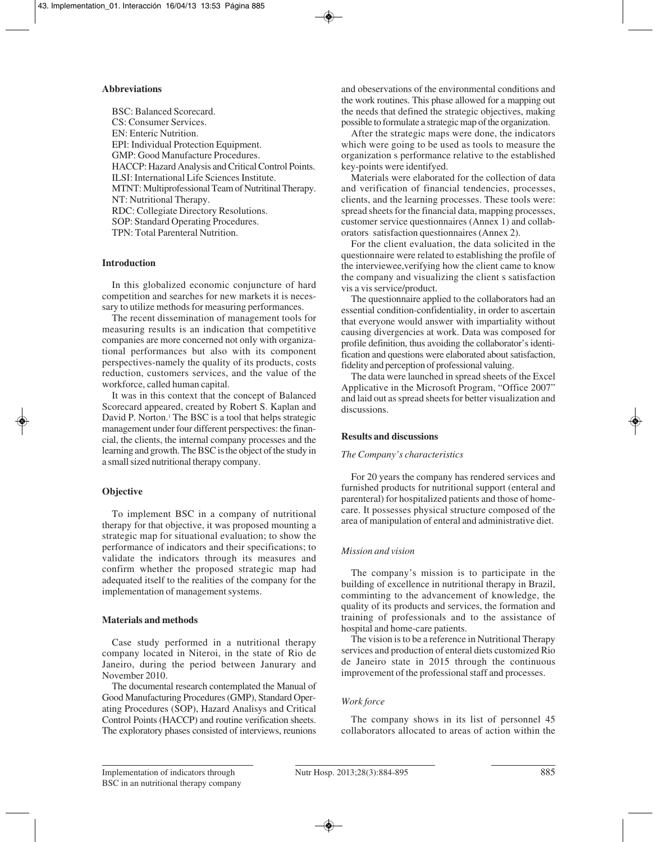#### **Abbreviations**

BSC: Balanced Scorecard. CS: Consumer Services. EN: Enteric Nutrition. EPI: Individual Protection Equipment. GMP: Good Manufacture Procedures. HACCP: Hazard Analysis and Critical Control Points. ILSI: International Life Sciences Institute. MTNT: Multiprofessional Team of Nutritinal Therapy. NT: Nutritional Therapy. RDC: Collegiate Directory Resolutions. SOP: Standard Operating Procedures. TPN: Total Parenteral Nutrition.

## **Introduction**

In this globalized economic conjuncture of hard competition and searches for new markets it is necessary to utilize methods for measuring performances.

The recent dissemination of management tools for measuring results is an indication that competitive companies are more concerned not only with organizational performances but also with its component perspectives-namely the quality of its products, costs reduction, customers services, and the value of the workforce, called human capital.

It was in this context that the concept of Balanced Scorecard appeared, created by Robert S. Kaplan and David P. Norton.<sup>1</sup> The BSC is a tool that helps strategic management under four different perspectives: the financial, the clients, the internal company processes and the learning and growth. The BSC is the object of the study in a small sized nutritional therapy company.

## **Objective**

To implement BSC in a company of nutritional therapy for that objective, it was proposed mounting a strategic map for situational evaluation; to show the performance of indicators and their specifications; to validate the indicators through its measures and confirm whether the proposed strategic map had adequated itself to the realities of the company for the implementation of management systems.

#### **Materials and methods**

Case study performed in a nutritional therapy company located in Niteroi, in the state of Rio de Janeiro, during the period between Janurary and November 2010.

The documental research contemplated the Manual of Good Manufacturing Procedures (GMP), Standard Operating Procedures (SOP), Hazard Analisys and Critical Control Points (HACCP) and routine verification sheets. The exploratory phases consisted of interviews, reunions and obeservations of the environmental conditions and the work routines. This phase allowed for a mapping out the needs that defined the strategic objectives, making possible to formulate a strategic map of the organization.

After the strategic maps were done, the indicators which were going to be used as tools to measure the organization s performance relative to the established key-points were identifyed.

Materials were elaborated for the collection of data and verification of financial tendencies, processes, clients, and the learning processes. These tools were: spread sheets for the financial data, mapping processes, customer service questionnaires (Annex 1) and collaborators satisfaction questionnaires (Annex 2).

For the client evaluation, the data solicited in the questionnaire were related to establishing the profile of the interviewee,verifying how the client came to know the company and visualizing the client s satisfaction vis a vis service/product.

The questionnaire applied to the collaborators had an essential condition-confidentiality, in order to ascertain that everyone would answer with impartiality without causing divergencies at work. Data was composed for profile definition, thus avoiding the collaborator's identification and questions were elaborated about satisfaction, fidelity and perception of professional valuing.

The data were launched in spread sheets of the Excel Applicative in the Microsoft Program, "Office 2007" and laid out as spread sheets for better visualization and discussions.

# **Results and discussions**

# *The Company's characteristics*

For 20 years the company has rendered services and furnished products for nutritional support (enteral and parenteral) for hospitalized patients and those of homecare. It possesses physical structure composed of the area of manipulation of enteral and administrative diet.

# *Mission and vision*

The company's mission is to participate in the building of excellence in nutritional therapy in Brazil, comminting to the advancement of knowledge, the quality of its products and services, the formation and training of professionals and to the assistance of hospital and home-care patients.

The vision is to be a reference in Nutritional Therapy services and production of enteral diets customized Rio de Janeiro state in 2015 through the continuous improvement of the professional staff and processes.

# *Work force*

The company shows in its list of personnel 45 collaborators allocated to areas of action within the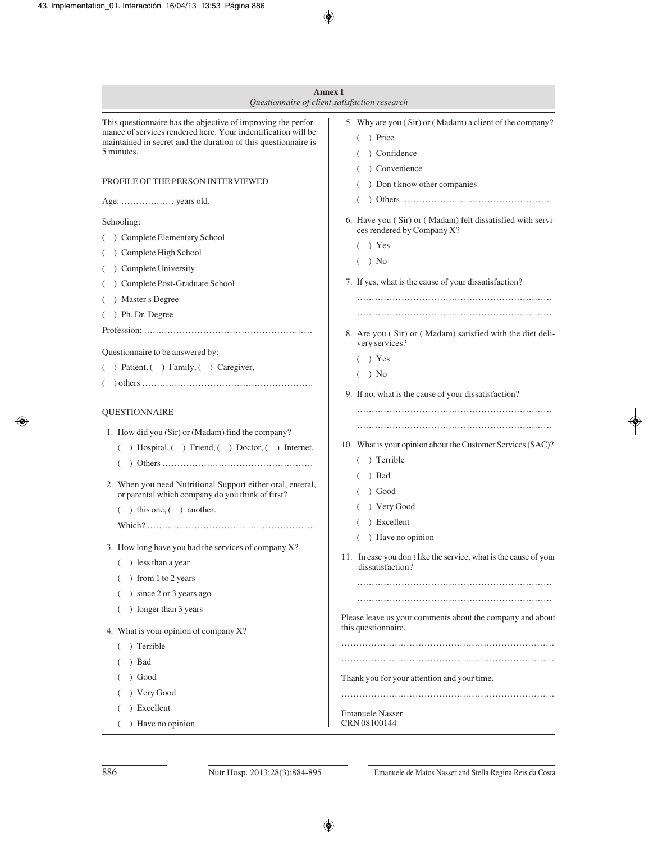| <b>Annex I</b><br>Questionnaire of client satisfaction research                                                                                                                                                                                                                                                                                                                                                                                                                                                    |                                                                                                                                                                                                                                                                                                                                                                                       |
|--------------------------------------------------------------------------------------------------------------------------------------------------------------------------------------------------------------------------------------------------------------------------------------------------------------------------------------------------------------------------------------------------------------------------------------------------------------------------------------------------------------------|---------------------------------------------------------------------------------------------------------------------------------------------------------------------------------------------------------------------------------------------------------------------------------------------------------------------------------------------------------------------------------------|
| This questionnaire has the objective of improving the perfor-<br>mance of services rendered here. Your indentification will be<br>maintained in secret and the duration of this questionnaire is<br>5 minutes.                                                                                                                                                                                                                                                                                                     | 5. Why are you (Sir) or (Madam) a client of the company?<br>) Price<br>) Confidence<br>Convenience                                                                                                                                                                                                                                                                                    |
| PROFILE OF THE PERSON INTERVIEWED                                                                                                                                                                                                                                                                                                                                                                                                                                                                                  | ) Don t know other companies                                                                                                                                                                                                                                                                                                                                                          |
| Age:  years old.                                                                                                                                                                                                                                                                                                                                                                                                                                                                                                   |                                                                                                                                                                                                                                                                                                                                                                                       |
| Schooling:<br>( ) Complete Elementary School<br>( ) Complete High School<br>( ) Complete University<br>( ) Complete Post-Graduate School<br>( ) Master s Degree<br>$($ ) Ph. Dr. Degree<br>Questionnaire to be answered by:<br>$($ ) Patient, $($ ) Family, $($ ) Caregiver,                                                                                                                                                                                                                                       | 6. Have you (Sir) or (Madam) felt dissatisfied with servi-<br>ces rendered by Company X?<br>$( )$ Yes<br>) No<br>7. If yes, what is the cause of your dissatisfaction?<br>8. Are you (Sir) or (Madam) satisfied with the diet deli-<br>very services?<br>Yes<br>) No                                                                                                                  |
| <b>QUESTIONNAIRE</b>                                                                                                                                                                                                                                                                                                                                                                                                                                                                                               | 9. If no, what is the cause of your dissatisfaction?                                                                                                                                                                                                                                                                                                                                  |
| 1. How did you (Sir) or (Madam) find the company?<br>( ) Hospital, ( ) Friend, ( ) Doctor, ( ) Internet,<br>2. When you need Nutritional Support either oral, enteral,<br>or parental which company do you think of first?<br>$($ $)$ this one, $($ $)$ another.<br>3. How long have you had the services of company X?<br>) less than a year<br>) from 1 to 2 years<br>) since 2 or 3 years ago<br>) longer than 3 years<br>4. What is your opinion of company X?<br>) Terrible<br>) Bad<br>) Good<br>) Very Good | 10. What is your opinion about the Customer Services (SAC)?<br>) Terrible<br>) Bad<br>) Good<br>Very Good<br>) Excellent<br>) Have no opinion<br>$\left($<br>11. In case you don t like the service, what is the cause of your<br>dissatisfaction?<br>Please leave us your comments about the company and about<br>this questionnaire.<br>Thank you for your attention and your time. |
| ) Excellent<br>) Have no opinion                                                                                                                                                                                                                                                                                                                                                                                                                                                                                   | <b>Emanuele Nasser</b><br>CRN 08100144                                                                                                                                                                                                                                                                                                                                                |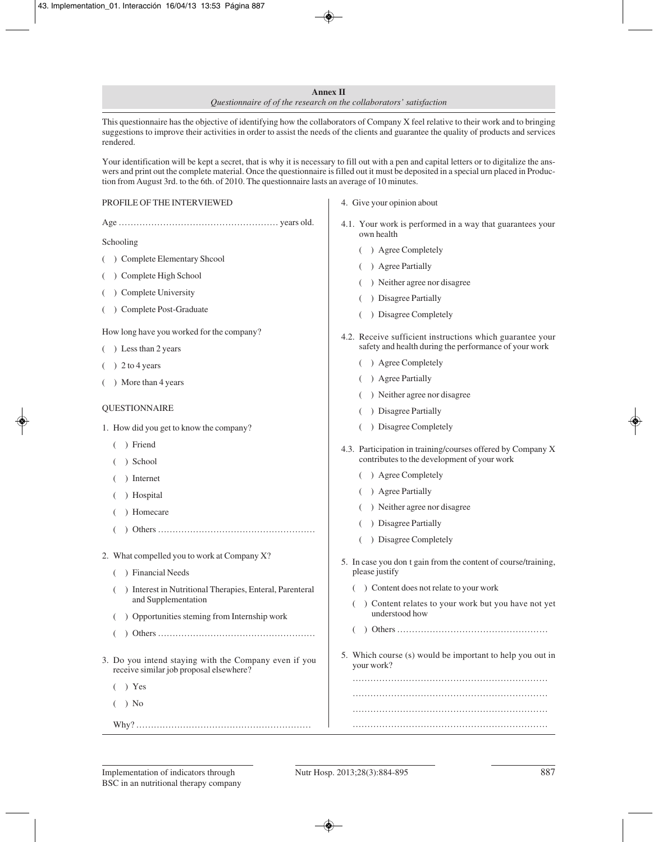#### **Annex II** *Questionnaire of of the research on the collaborators' satisfaction*

This questionnaire has the objective of identifying how the collaborators of Company X feel relative to their work and to bringing suggestions to improve their activities in order to assist the needs of the clients and guarantee the quality of products and services rendered.

Your identification will be kept a secret, that is why it is necessary to fill out with a pen and capital letters or to digitalize the answers and print out the complete material. Once the questionnaire is filled out it must be deposited in a special urn placed in Production from August 3rd. to the 6th. of 2010. The questionnaire lasts an average of 10 minutes.

| PROFILE OF THE INTERVIEWED                                                                       | 4. Give your opinion about                                                                                         |
|--------------------------------------------------------------------------------------------------|--------------------------------------------------------------------------------------------------------------------|
|                                                                                                  | 4.1. Your work is performed in a way that guarantees your<br>own health                                            |
| Schooling                                                                                        | ) Agree Completely                                                                                                 |
| ( ) Complete Elementary Shcool                                                                   | ) Agree Partially                                                                                                  |
| ) Complete High School                                                                           | ) Neither agree nor disagree                                                                                       |
| Complete University                                                                              | ) Disagree Partially                                                                                               |
| Complete Post-Graduate                                                                           | ) Disagree Completely                                                                                              |
| How long have you worked for the company?<br>) Less than 2 years                                 | 4.2. Receive sufficient instructions which guarantee your<br>safety and health during the performance of your work |
| $( ) 2$ to 4 years                                                                               | ) Agree Completely                                                                                                 |
| ) More than 4 years                                                                              | ) Agree Partially                                                                                                  |
|                                                                                                  | ) Neither agree nor disagree                                                                                       |
| <b>QUESTIONNAIRE</b>                                                                             | ) Disagree Partially                                                                                               |
| 1. How did you get to know the company?                                                          | ) Disagree Completely                                                                                              |
| ) Friend<br>) School                                                                             | 4.3. Participation in training/courses offered by Company X<br>contributes to the development of your work         |
| Internet                                                                                         | ) Agree Completely                                                                                                 |
| Hospital                                                                                         | ) Agree Partially                                                                                                  |
| Homecare                                                                                         | ) Neither agree nor disagree                                                                                       |
|                                                                                                  | ) Disagree Partially                                                                                               |
|                                                                                                  | ) Disagree Completely                                                                                              |
| 2. What compelled you to work at Company X?<br>) Financial Needs                                 | 5. In case you don t gain from the content of course/training,<br>please justify                                   |
| ) Interest in Nutritional Therapies, Enteral, Parenteral<br>$\overline{ }$                       | ) Content does not relate to your work                                                                             |
| and Supplementation                                                                              | () Content relates to your work but you have not yet                                                               |
| ) Opportunities steming from Internship work                                                     | understood how                                                                                                     |
|                                                                                                  |                                                                                                                    |
| 3. Do you intend staying with the Company even if you<br>receive similar job proposal elsewhere? | 5. Which course (s) would be important to help you out in<br>your work?                                            |
| $)$ Yes                                                                                          |                                                                                                                    |
| ) No                                                                                             |                                                                                                                    |
|                                                                                                  |                                                                                                                    |
|                                                                                                  |                                                                                                                    |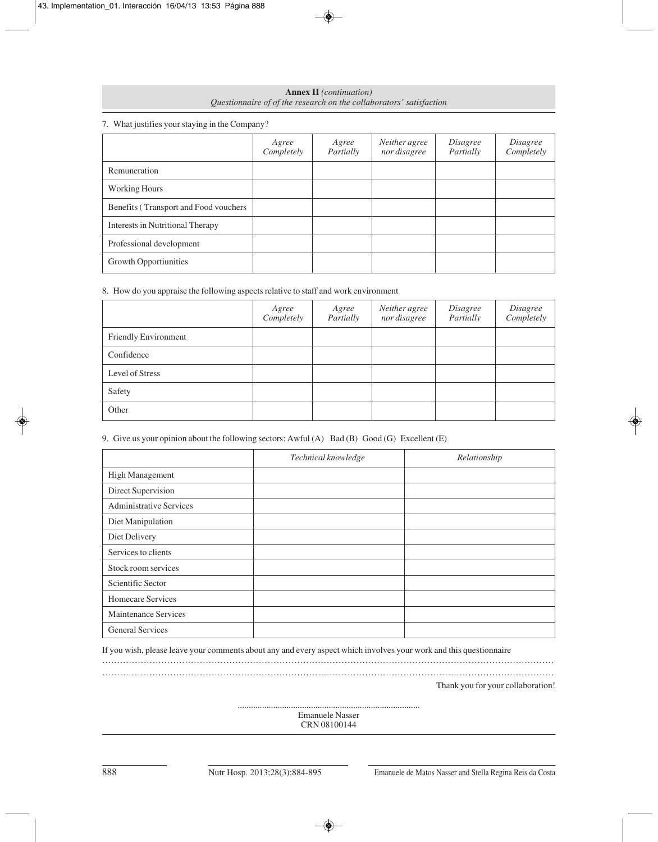| <b>Annex II</b> ( <i>continuation</i> )                             |
|---------------------------------------------------------------------|
| Questionnaire of of the research on the collaborators' satisfaction |

## 7. What justifies your staying in the Company?

|                                       | Agree<br>Completely | Agree<br>Partially | Neither agree<br>nor disagree | Disagree<br>Partially | Disagree<br>Completely |
|---------------------------------------|---------------------|--------------------|-------------------------------|-----------------------|------------------------|
| Remuneration                          |                     |                    |                               |                       |                        |
| <b>Working Hours</b>                  |                     |                    |                               |                       |                        |
| Benefits (Transport and Food vouchers |                     |                    |                               |                       |                        |
| Interests in Nutritional Therapy      |                     |                    |                               |                       |                        |
| Professional development              |                     |                    |                               |                       |                        |
| Growth Opportiunities                 |                     |                    |                               |                       |                        |

## 8. How do you appraise the following aspects relative to staff and work environment

|                      | Agree<br>Completely | Agree<br>Partially | Neither agree<br>nor disagree | Disagree<br>Partially | Disagree<br>Completely |
|----------------------|---------------------|--------------------|-------------------------------|-----------------------|------------------------|
| Friendly Environment |                     |                    |                               |                       |                        |
| Confidence           |                     |                    |                               |                       |                        |
| Level of Stress      |                     |                    |                               |                       |                        |
| Safety               |                     |                    |                               |                       |                        |
| Other                |                     |                    |                               |                       |                        |

## 9. Give us your opinion about the following sectors: Awful (A) Bad (B) Good (G) Excellent (E)

|                                | Technical knowledge | Relationship |
|--------------------------------|---------------------|--------------|
| High Management                |                     |              |
| Direct Supervision             |                     |              |
| <b>Administrative Services</b> |                     |              |
| Diet Manipulation              |                     |              |
| Diet Delivery                  |                     |              |
| Services to clients            |                     |              |
| Stock room services            |                     |              |
| Scientific Sector              |                     |              |
| Homecare Services              |                     |              |
| <b>Maintenance Services</b>    |                     |              |
| <b>General Services</b>        |                     |              |

If you wish, please leave your comments about any and every aspect which involves your work and this questionnaire

……………………………………………………………………………………………………………………………………… ………………………………………………………………………………………………………………………………………

Thank you for your collaboration!

.................................................................................. Emanuele Nasser CRN 08100144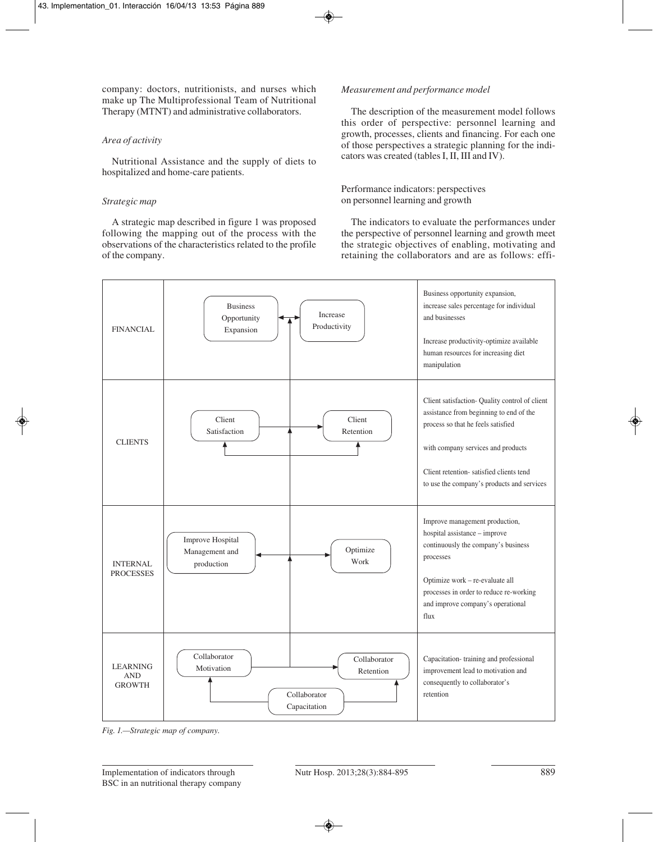company: doctors, nutritionists, and nurses which make up The Multiprofessional Team of Nutritional Therapy (MTNT) and administrative collaborators.

## *Area of activity*

Nutritional Assistance and the supply of diets to hospitalized and home-care patients.

## *Strategic map*

A strategic map described in figure 1 was proposed following the mapping out of the process with the observations of the characteristics related to the profile of the company.

## *Measurement and performance model*

The description of the measurement model follows this order of perspective: personnel learning and growth, processes, clients and financing. For each one of those perspectives a strategic planning for the indicators was created (tables I, II, III and IV).

Performance indicators: perspectives on personnel learning and growth

The indicators to evaluate the performances under the perspective of personnel learning and growth meet the strategic objectives of enabling, motivating and retaining the collaborators and are as follows: effi-



*Fig. 1.—Strategic map of company.*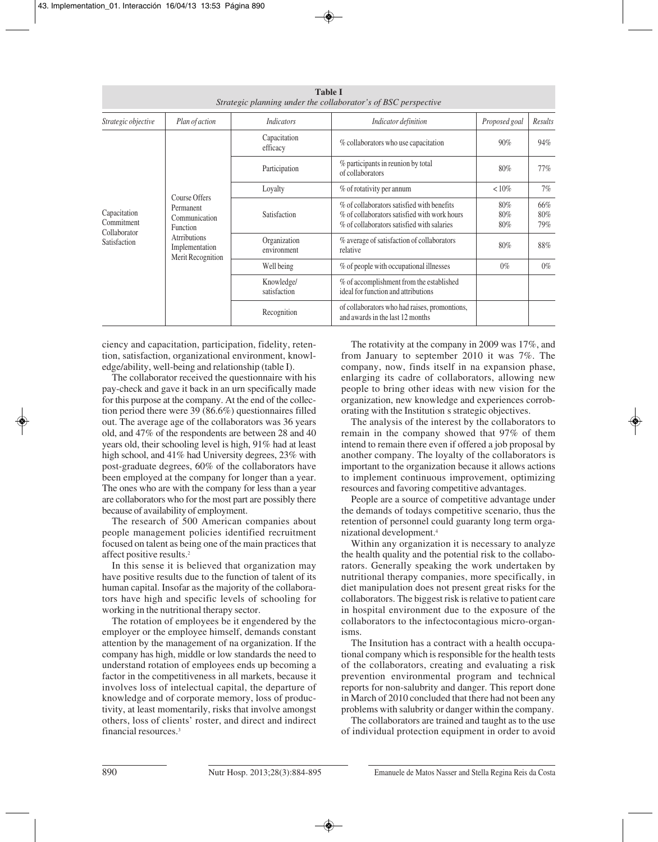|                                                                                       |                                                     |                                                                                                                                          | <b>Table I</b><br>Strategic planning under the collaborator's of BSC perspective  |                   |         |
|---------------------------------------------------------------------------------------|-----------------------------------------------------|------------------------------------------------------------------------------------------------------------------------------------------|-----------------------------------------------------------------------------------|-------------------|---------|
| Strategic objective                                                                   | Plan of action                                      | <b>Indicators</b>                                                                                                                        | Indicator definition                                                              | Proposed goal     | Results |
| Course Offers<br>Permanent<br>Capacitation<br>Communication<br>Commitment<br>Function | Capacitation<br>efficacy                            | % collaborators who use capacitation                                                                                                     | $90\%$                                                                            | 94%               |         |
|                                                                                       | Participation                                       | % participants in reunion by total<br>of collaborators                                                                                   | 80%                                                                               | $77\%$            |         |
|                                                                                       | Loyalty                                             | % of rotativity per annum                                                                                                                | ${10\%}$                                                                          | 7%                |         |
|                                                                                       | Satisfaction                                        | % of collaborators satisfied with benefits<br>% of collaborators satisfied with work hours<br>% of collaborators satisfied with salaries | 80%<br>80%<br>80%                                                                 | 66%<br>80%<br>79% |         |
| Collaborator<br>Satisfaction                                                          | Atrributions<br>Implementation<br>Merit Recognition | Organization<br>environment                                                                                                              | % average of satisfaction of collaborators<br>relative                            | 80%               | 88%     |
|                                                                                       |                                                     | Well being                                                                                                                               | % of people with occupational illnesses                                           | $0\%$             | $0\%$   |
|                                                                                       |                                                     | Knowledge/<br>satisfaction                                                                                                               | % of accomplishment from the established<br>ideal for function and attributions   |                   |         |
|                                                                                       |                                                     | Recognition                                                                                                                              | of collaborators who had raises, promontions,<br>and awards in the last 12 months |                   |         |

ciency and capacitation, participation, fidelity, retention, satisfaction, organizational environment, knowledge/ability, well-being and relationship (table I).

The collaborator received the questionnaire with his pay-check and gave it back in an urn specifically made for this purpose at the company. At the end of the collection period there were 39 (86.6%) questionnaires filled out. The average age of the collaborators was 36 years old, and 47% of the respondents are between 28 and 40 years old, their schooling level is high, 91% had at least high school, and 41% had University degrees, 23% with post-graduate degrees, 60% of the collaborators have been employed at the company for longer than a year. The ones who are with the company for less than a year are collaborators who for the most part are possibly there because of availability of employment.

The research of 500 American companies about people management policies identified recruitment focused on talent as being one of the main practices that affect positive results.2

In this sense it is believed that organization may have positive results due to the function of talent of its human capital. Insofar as the majority of the collaborators have high and specific levels of schooling for working in the nutritional therapy sector.

The rotation of employees be it engendered by the employer or the employee himself, demands constant attention by the management of na organization. If the company has high, middle or low standards the need to understand rotation of employees ends up becoming a factor in the competitiveness in all markets, because it involves loss of intelectual capital, the departure of knowledge and of corporate memory, loss of productivity, at least momentarily, risks that involve amongst others, loss of clients' roster, and direct and indirect financial resources.3

The rotativity at the company in 2009 was 17%, and from January to september 2010 it was 7%. The company, now, finds itself in na expansion phase, enlarging its cadre of collaborators, allowing new people to bring other ideas with new vision for the organization, new knowledge and experiences corroborating with the Institution s strategic objectives.

The analysis of the interest by the collaborators to remain in the company showed that 97% of them intend to remain there even if offered a job proposal by another company. The loyalty of the collaborators is important to the organization because it allows actions to implement continuous improvement, optimizing resources and favoring competitive advantages.

People are a source of competitive advantage under the demands of todays competitive scenario, thus the retention of personnel could guaranty long term organizational development.4

Within any organization it is necessary to analyze the health quality and the potential risk to the collaborators. Generally speaking the work undertaken by nutritional therapy companies, more specifically, in diet manipulation does not present great risks for the collaborators. The biggest risk is relative to patient care in hospital environment due to the exposure of the collaborators to the infectocontagious micro-organisms.

The Insitution has a contract with a health occupational company which is responsible for the health tests of the collaborators, creating and evaluating a risk prevention environmental program and technical reports for non-salubrity and danger. This report done in March of 2010 concluded that there had not been any problems with salubrity or danger within the company.

The collaborators are trained and taught as to the use of individual protection equipment in order to avoid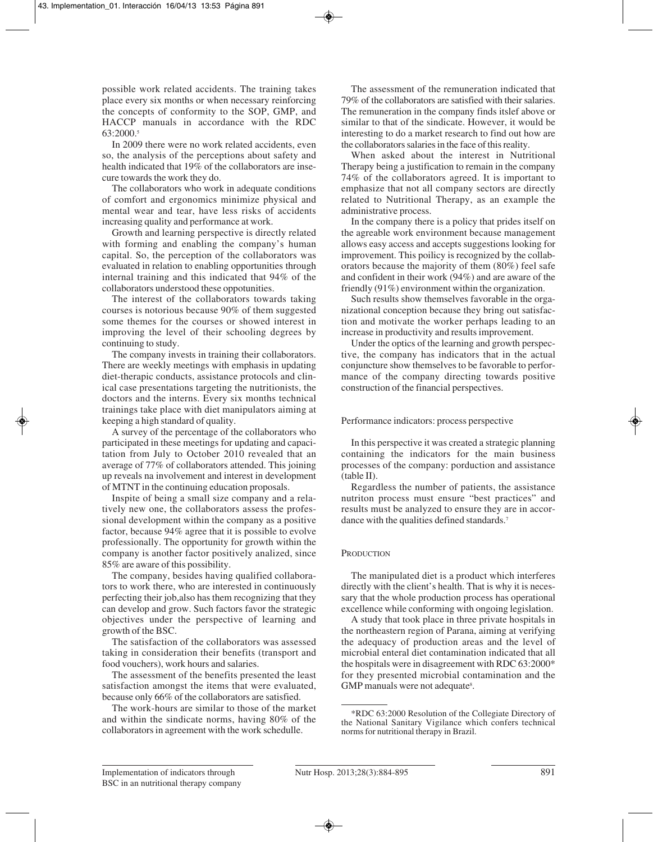possible work related accidents. The training takes place every six months or when necessary reinforcing the concepts of conformity to the SOP, GMP, and HACCP manuals in accordance with the RDC 63:2000.5

In 2009 there were no work related accidents, even so, the analysis of the perceptions about safety and health indicated that 19% of the collaborators are insecure towards the work they do.

The collaborators who work in adequate conditions of comfort and ergonomics minimize physical and mental wear and tear, have less risks of accidents increasing quality and performance at work.

Growth and learning perspective is directly related with forming and enabling the company's human capital. So, the perception of the collaborators was evaluated in relation to enabling opportunities through internal training and this indicated that 94% of the collaborators understood these oppotunities.

The interest of the collaborators towards taking courses is notorious because 90% of them suggested some themes for the courses or showed interest in improving the level of their schooling degrees by continuing to study.

The company invests in training their collaborators. There are weekly meetings with emphasis in updating diet-therapic conducts, assistance protocols and clinical case presentations targeting the nutritionists, the doctors and the interns. Every six months technical trainings take place with diet manipulators aiming at keeping a high standard of quality.

A survey of the percentage of the collaborators who participated in these meetings for updating and capacitation from July to October 2010 revealed that an average of 77% of collaborators attended. This joining up reveals na involvement and interest in development of MTNT in the continuing education proposals.

Inspite of being a small size company and a relatively new one, the collaborators assess the professional development within the company as a positive factor, because 94% agree that it is possible to evolve professionally. The opportunity for growth within the company is another factor positively analized, since 85% are aware of this possibility.

The company, besides having qualified collaborators to work there, who are interested in continuously perfecting their job,also has them recognizing that they can develop and grow. Such factors favor the strategic objectives under the perspective of learning and growth of the BSC.

The satisfaction of the collaborators was assessed taking in consideration their benefits (transport and food vouchers), work hours and salaries.

The assessment of the benefits presented the least satisfaction amongst the items that were evaluated, because only 66% of the collaborators are satisfied.

The work-hours are similar to those of the market and within the sindicate norms, having 80% of the collaborators in agreement with the work schedulle.

The assessment of the remuneration indicated that 79% of the collaborators are satisfied with their salaries. The remuneration in the company finds itslef above or similar to that of the sindicate. However, it would be interesting to do a market research to find out how are the collaborators salaries in the face of this reality.

When asked about the interest in Nutritional Therapy being a justification to remain in the company 74% of the collaborators agreed. It is important to emphasize that not all company sectors are directly related to Nutritional Therapy, as an example the administrative process.

In the company there is a policy that prides itself on the agreable work environment because management allows easy access and accepts suggestions looking for improvement. This poilicy is recognized by the collaborators because the majority of them (80%) feel safe and confident in their work (94%) and are aware of the friendly (91%) environment within the organization.

Such results show themselves favorable in the organizational conception because they bring out satisfaction and motivate the worker perhaps leading to an increase in productivity and results improvement.

Under the optics of the learning and growth perspective, the company has indicators that in the actual conjuncture show themselves to be favorable to performance of the company directing towards positive construction of the financial perspectives.

#### Performance indicators: process perspective

In this perspective it was created a strategic planning containing the indicators for the main business processes of the company: porduction and assistance (table II).

Regardless the number of patients, the assistance nutriton process must ensure "best practices" and results must be analyzed to ensure they are in accordance with the qualities defined standards.<sup>7</sup>

#### **PRODUCTION**

The manipulated diet is a product which interferes directly with the client's health. That is why it is necessary that the whole production process has operational excellence while conforming with ongoing legislation.

A study that took place in three private hospitals in the northeastern region of Parana, aiming at verifying the adequacy of production areas and the level of microbial enteral diet contamination indicated that all the hospitals were in disagreement with RDC 63:2000\* for they presented microbial contamination and the GMP manuals were not adequate<sup>8</sup>.

<sup>\*</sup>RDC 63:2000 Resolution of the Collegiate Directory of the National Sanitary Vigilance which confers technical norms for nutritional therapy in Brazil.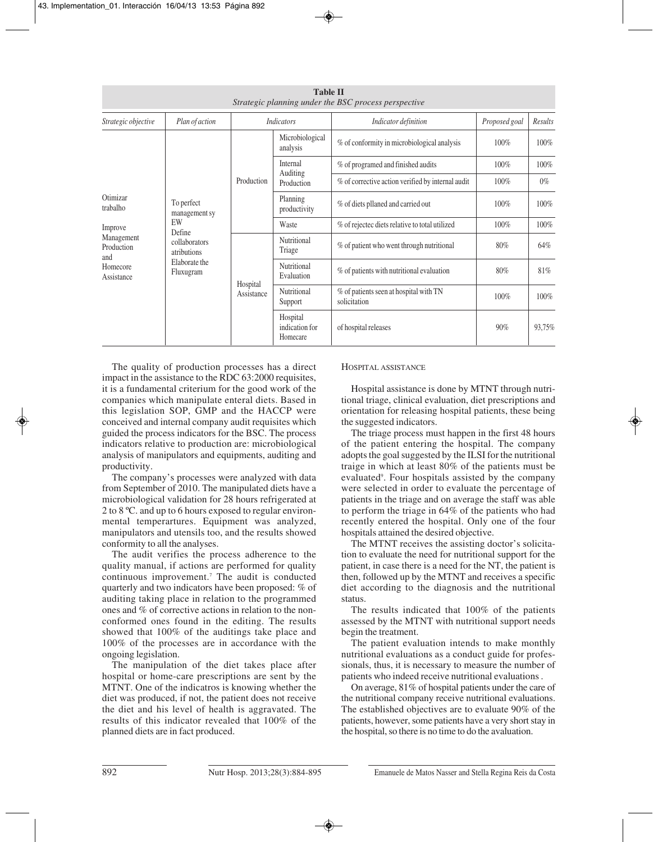|                                                           |                                             |                                                                                                                                                                                                                                                                                                                                                                                                                              | <b>Table II</b>                                                        | Strategic planning under the BSC process perspective |               |         |
|-----------------------------------------------------------|---------------------------------------------|------------------------------------------------------------------------------------------------------------------------------------------------------------------------------------------------------------------------------------------------------------------------------------------------------------------------------------------------------------------------------------------------------------------------------|------------------------------------------------------------------------|------------------------------------------------------|---------------|---------|
| Strategic objective                                       | Plan of action                              |                                                                                                                                                                                                                                                                                                                                                                                                                              | <b>Indicators</b>                                                      | Indicator definition                                 | Proposed goal | Results |
| Otimizar<br>trabalho                                      |                                             | Microbiological<br>% of conformity in microbiological analysis<br>analysis<br>Internal<br>% of programed and finished audits<br>Auditing<br>Production<br>% of corrective action verified by internal audit<br>Production<br>Planning<br>% of diets pllaned and carried out<br>productivity<br>% of rejectec diets relative to total utilized<br>Waste<br>Nutritional<br>% of patient who went through nutritional<br>Triage |                                                                        |                                                      | 100%          | 100%    |
|                                                           |                                             |                                                                                                                                                                                                                                                                                                                                                                                                                              |                                                                        |                                                      | 100%          | 100%    |
|                                                           |                                             |                                                                                                                                                                                                                                                                                                                                                                                                                              |                                                                        |                                                      | 100%          | $0\%$   |
|                                                           | To perfect<br>management sy<br>EW<br>Define |                                                                                                                                                                                                                                                                                                                                                                                                                              |                                                                        |                                                      | 100%          | 100%    |
| Improve                                                   |                                             |                                                                                                                                                                                                                                                                                                                                                                                                                              |                                                                        |                                                      | 100%          | 100%    |
| Management<br>Production<br>and<br>Homecore<br>Assistance | collaborators<br>atributions                |                                                                                                                                                                                                                                                                                                                                                                                                                              | 80%                                                                    | 64%                                                  |               |         |
|                                                           | Elaborate the<br>Fluxugram                  | Hospital                                                                                                                                                                                                                                                                                                                                                                                                                     | Nutritional<br>% of patients with nutritional evaluation<br>Evaluation | 80%                                                  | 81%           |         |
|                                                           |                                             | Nutritional<br>Assistance<br>solicitation<br>Support<br>Hospital<br>indication for<br>Homecare                                                                                                                                                                                                                                                                                                                               | % of patients seen at hospital with TN                                 | 100%                                                 | 100%          |         |
|                                                           |                                             |                                                                                                                                                                                                                                                                                                                                                                                                                              |                                                                        | of hospital releases                                 | 90%           | 93,75%  |

The quality of production processes has a direct impact in the assistance to the RDC 63:2000 requisites, it is a fundamental criterium for the good work of the companies which manipulate enteral diets. Based in this legislation SOP, GMP and the HACCP were conceived and internal company audit requisites which guided the process indicators for the BSC. The process indicators relative to production are: microbiological analysis of manipulators and equipments, auditing and productivity.

The company's processes were analyzed with data from September of 2010. The manipulated diets have a microbiological validation for 28 hours refrigerated at 2 to 8 ºC. and up to 6 hours exposed to regular environmental temperartures. Equipment was analyzed, manipulators and utensils too, and the results showed conformity to all the analyses.

The audit verifies the process adherence to the quality manual, if actions are performed for quality continuous improvement.7 The audit is conducted quarterly and two indicators have been proposed: % of auditing taking place in relation to the programmed ones and % of corrective actions in relation to the nonconformed ones found in the editing. The results showed that 100% of the auditings take place and 100% of the processes are in accordance with the ongoing legislation.

The manipulation of the diet takes place after hospital or home-care prescriptions are sent by the MTNT. One of the indicatros is knowing whether the diet was produced, if not, the patient does not receive the diet and his level of health is aggravated. The results of this indicator revealed that 100% of the planned diets are in fact produced.

## HOSPITAL ASSISTANCE

Hospital assistance is done by MTNT through nutritional triage, clinical evaluation, diet prescriptions and orientation for releasing hospital patients, these being the suggested indicators.

The triage process must happen in the first 48 hours of the patient entering the hospital. The company adopts the goal suggested by the ILSI for the nutritional traige in which at least 80% of the patients must be evaluated9 . Four hospitals assisted by the company were selected in order to evaluate the percentage of patients in the triage and on average the staff was able to perform the triage in 64% of the patients who had recently entered the hospital. Only one of the four hospitals attained the desired objective.

The MTNT receives the assisting doctor's solicitation to evaluate the need for nutritional support for the patient, in case there is a need for the NT, the patient is then, followed up by the MTNT and receives a specific diet according to the diagnosis and the nutritional status.

The results indicated that 100% of the patients assessed by the MTNT with nutritional support needs begin the treatment.

The patient evaluation intends to make monthly nutritional evaluations as a conduct guide for professionals, thus, it is necessary to measure the number of patients who indeed receive nutritional evaluations .

On average, 81% of hospital patients under the care of the nutritional company receive nutritional evaluations. The established objectives are to evaluate 90% of the patients, however, some patients have a very short stay in the hospital, so there is no time to do the avaluation.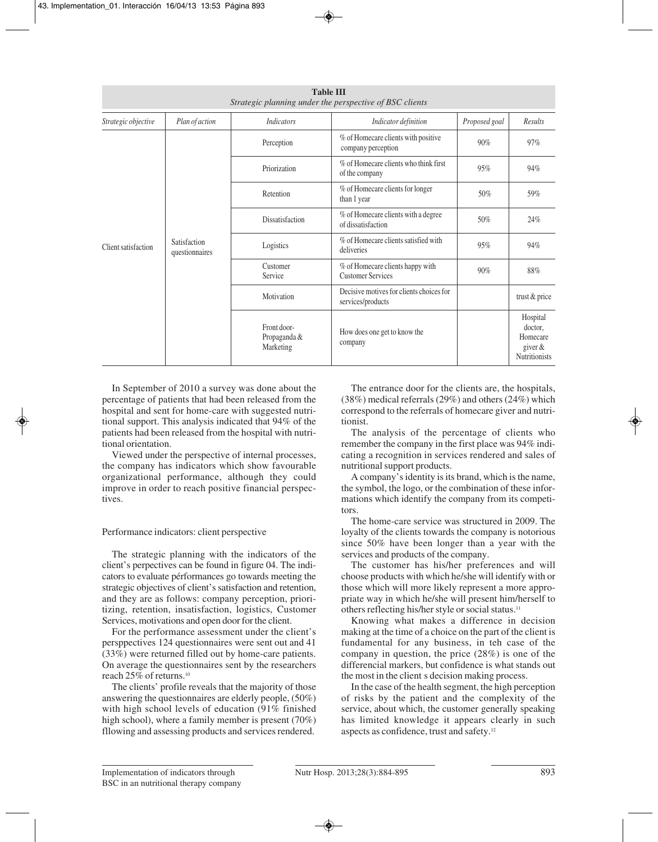|                                                       |                | <b>Table III</b><br>Strategic planning under the perspective of BSC clients |                                                               |               |                                                                      |
|-------------------------------------------------------|----------------|-----------------------------------------------------------------------------|---------------------------------------------------------------|---------------|----------------------------------------------------------------------|
| Strategic objective                                   | Plan of action | <i>Indicators</i>                                                           | Indicator definition                                          | Proposed goal | Results                                                              |
| Satisfaction<br>Client satisfaction<br>questionnaires |                | Perception                                                                  | % of Homecare clients with positive<br>company perception     | 90%           | 97%                                                                  |
|                                                       |                | Priorization                                                                | % of Homecare clients who think first<br>of the company       | 95%           | 94%                                                                  |
|                                                       |                | Retention                                                                   | % of Homecare clients for longer<br>than 1 year               | 50%           | 59%                                                                  |
|                                                       |                | Dissatisfaction                                                             | % of Homecare clients with a degree<br>of dissatisfaction     | 50%           | 24%                                                                  |
|                                                       |                | Logistics                                                                   | % of Homecare clients satisfied with<br>deliveries            | 95%           | 94%                                                                  |
|                                                       |                | Customer<br>Service                                                         | % of Homecare clients happy with<br><b>Customer Services</b>  | 90%           | 88%                                                                  |
|                                                       |                | Motivation                                                                  | Decisive motives for clients choices for<br>services/products |               | trust & price                                                        |
|                                                       |                | Front door-<br>Propaganda &<br>Marketing                                    | How does one get to know the<br>company                       |               | Hospital<br>doctor,<br>Homecare<br>giver $&$<br><b>Nutritionists</b> |

In September of 2010 a survey was done about the percentage of patients that had been released from the hospital and sent for home-care with suggested nutritional support. This analysis indicated that 94% of the patients had been released from the hospital with nutritional orientation.

Viewed under the perspective of internal processes, the company has indicators which show favourable organizational performance, although they could improve in order to reach positive financial perspectives.

#### Performance indicators: client perspective

The strategic planning with the indicators of the client's perpectives can be found in figure 04. The indicators to evaluate pérformances go towards meeting the strategic objectives of client's satisfaction and retention, and they are as follows: company perception, prioritizing, retention, insatisfaction, logistics, Customer Services, motivations and open door for the client.

For the performance assessment under the client's persppectives 124 questionnaires were sent out and 41 (33%) were returned filled out by home-care patients. On average the questionnaires sent by the researchers reach 25% of returns.10

The clients' profile reveals that the majority of those answering the questionnaires are elderly people, (50%) with high school levels of education (91% finished high school), where a family member is present (70%) fllowing and assessing products and services rendered.

The entrance door for the clients are, the hospitals, (38%) medical referrals (29%) and others (24%) which correspond to the referrals of homecare giver and nutritionist.

The analysis of the percentage of clients who remember the company in the first place was 94% indicating a recognition in services rendered and sales of nutritional support products.

A company's identity is its brand, which is the name, the symbol, the logo, or the combination of these informations which identify the company from its competitors.

The home-care service was structured in 2009. The loyalty of the clients towards the company is notorious since 50% have been longer than a year with the services and products of the company.

The customer has his/her preferences and will choose products with which he/she will identify with or those which will more likely represent a more appropriate way in which he/she will present him/herself to others reflecting his/her style or social status.11

Knowing what makes a difference in decision making at the time of a choice on the part of the client is fundamental for any business, in teh case of the company in question, the price (28%) is one of the differencial markers, but confidence is what stands out the most in the client s decision making process.

In the case of the health segment, the high perception of risks by the patient and the complexity of the service, about which, the customer generally speaking has limited knowledge it appears clearly in such aspects as confidence, trust and safety.12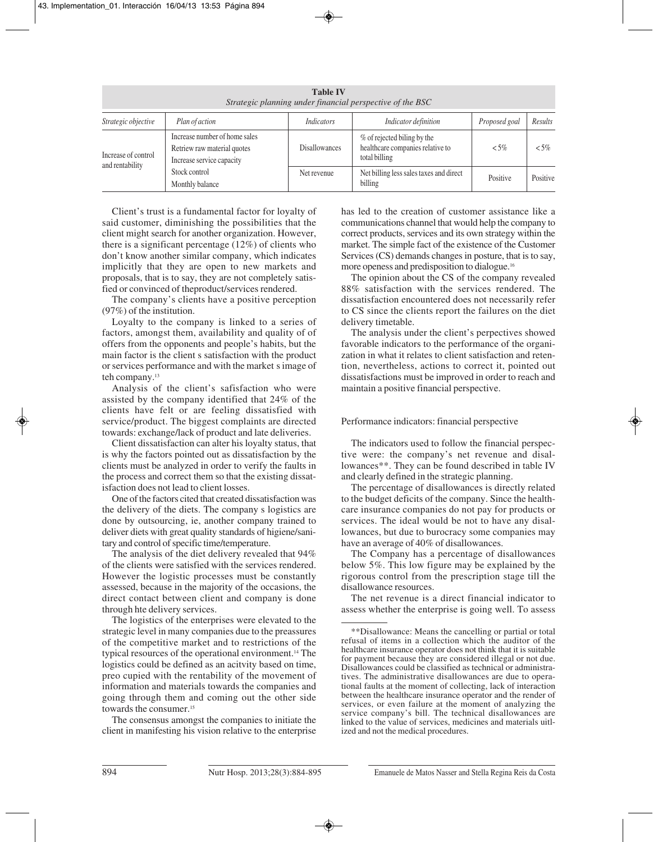|                                        |                                                                                           | <b>Table IV</b>      | Strategic planning under financial perspective of the BSC                        |               |          |
|----------------------------------------|-------------------------------------------------------------------------------------------|----------------------|----------------------------------------------------------------------------------|---------------|----------|
| Strategic objective                    | Plan of action                                                                            | Indicators           | Indicator definition                                                             | Proposed goal | Results  |
| Increase of control<br>and rentability | Increase number of home sales<br>Retriew raw material quotes<br>Increase service capacity | <b>Disallowances</b> | % of rejected biling by the<br>healthcare companies relative to<br>total billing | ${5\%}$       | $<$ 5%   |
|                                        | Stock control<br>Monthly balance                                                          | Net revenue          | Net billing less sales taxes and direct<br>billing                               | Positive      | Positive |

Client's trust is a fundamental factor for loyalty of said customer, diminishing the possibilities that the client might search for another organization. However, there is a significant percentage (12%) of clients who don't know another similar company, which indicates implicitly that they are open to new markets and proposals, that is to say, they are not completely satisfied or convinced of theproduct/services rendered.

The company's clients have a positive perception (97%) of the institution.

Loyalty to the company is linked to a series of factors, amongst them, availability and quality of of offers from the opponents and people's habits, but the main factor is the client s satisfaction with the product or services performance and with the market s image of teh company.<sup>13</sup>

Analysis of the client's safisfaction who were assisted by the company identified that 24% of the clients have felt or are feeling dissatisfied with service/product. The biggest complaints are directed towards: exchange/lack of product and late deliveries.

Client dissatisfaction can alter his loyalty status, that is why the factors pointed out as dissatisfaction by the clients must be analyzed in order to verify the faults in the process and correct them so that the existing dissatisfaction does not lead to client losses.

One of the factors cited that created dissatisfaction was the delivery of the diets. The company s logistics are done by outsourcing, ie, another company trained to deliver diets with great quality standards of higiene/sanitary and control of specific time/temperature.

The analysis of the diet delivery revealed that 94% of the clients were satisfied with the services rendered. However the logistic processes must be constantly assessed, because in the majority of the occasions, the direct contact between client and company is done through hte delivery services.

The logistics of the enterprises were elevated to the strategic level in many companies due to the preassures of the competitive market and to restrictions of the typical resources of the operational environment.14 The logistics could be defined as an acitvity based on time, preo cupied with the rentability of the movement of information and materials towards the companies and going through them and coming out the other side towards the consumer.<sup>15</sup>

The consensus amongst the companies to initiate the client in manifesting his vision relative to the enterprise

has led to the creation of customer assistance like a communications channel that would help the company to correct products, services and its own strategy within the market. The simple fact of the existence of the Customer Services (CS) demands changes in posture, that is to say, more openess and predisposition to dialogue.16

The opinion about the CS of the company revealed 88% satisfaction with the services rendered. The dissatisfaction encountered does not necessarily refer to CS since the clients report the failures on the diet delivery timetable.

The analysis under the client's perpectives showed favorable indicators to the performance of the organization in what it relates to client satisfaction and retention, nevertheless, actions to correct it, pointed out dissatisfactions must be improved in order to reach and maintain a positive financial perspective.

#### Performance indicators: financial perspective

The indicators used to follow the financial perspective were: the company's net revenue and disallowances\*\*. They can be found described in table IV and clearly defined in the strategic planning.

The percentage of disallowances is directly related to the budget deficits of the company. Since the healthcare insurance companies do not pay for products or services. The ideal would be not to have any disallowances, but due to burocracy some companies may have an average of 40% of disallowances.

The Company has a percentage of disallowances below 5%. This low figure may be explained by the rigorous control from the prescription stage till the disallowance resources.

The net revenue is a direct financial indicator to assess whether the enterprise is going well. To assess

<sup>\*\*</sup>Disallowance: Means the cancelling or partial or total refusal of items in a collection which the auditor of the healthcare insurance operator does not think that it is suitable for payment because they are considered illegal or not due. Disallowances could be classified as technical or administratives. The administrative disallowances are due to operational faults at the moment of collecting, lack of interaction between the healthcare insurance operator and the render of services, or even failure at the moment of analyzing the service company's bill. The technical disallowances are linked to the value of services, medicines and materials uitlized and not the medical procedures.